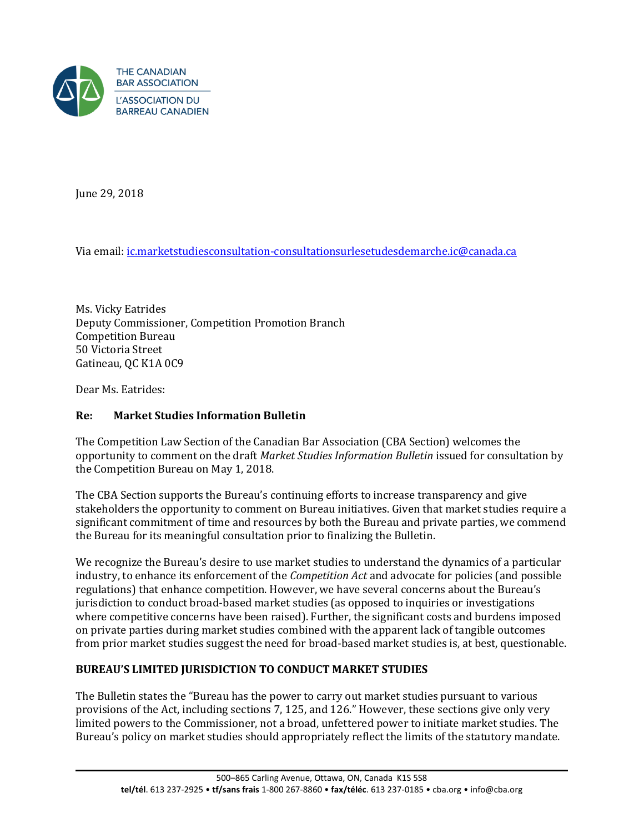

June 29, 2018

Via email[: ic.marketstudiesconsultation-consultationsurlesetudesdemarche.ic@canada.ca](mailto:ic.marketstudiesconsultation-consultationsurlesetudesdemarche.ic@canada.ca) 

Ms. Vicky Eatrides Deputy Commissioner, Competition Promotion Branch Competition Bureau 50 Victoria Street Gatineau, QC K1A 0C9

Dear Ms. Eatrides:

### **Re: Market Studies Information Bulletin**

The Competition Law Section of the Canadian Bar Association (CBA Section) welcomes the opportunity to comment on the draft *Market Studies Information Bulletin* issued for consultation by the Competition Bureau on May 1, 2018.

The CBA Section supports the Bureau's continuing efforts to increase transparency and give stakeholders the opportunity to comment on Bureau initiatives. Given that market studies require a significant commitment of time and resources by both the Bureau and private parties, we commend the Bureau for its meaningful consultation prior to finalizing the Bulletin.

We recognize the Bureau's desire to use market studies to understand the dynamics of a particular industry, to enhance its enforcement of the *Competition Act* and advocate for policies (and possible regulations) that enhance competition. However, we have several concerns about the Bureau's jurisdiction to conduct broad-based market studies (as opposed to inquiries or investigations where competitive concerns have been raised). Further, the significant costs and burdens imposed on private parties during market studies combined with the apparent lack of tangible outcomes from prior market studies suggest the need for broad-based market studies is, at best, questionable.

### **BUREAU'S LIMITED JURISDICTION TO CONDUCT MARKET STUDIES**

The Bulletin states the "Bureau has the power to carry out market studies pursuant to various provisions of the Act, including sections 7, 125, and 126." However, these sections give only very limited powers to the Commissioner, not a broad, unfettered power to initiate market studies. The Bureau's policy on market studies should appropriately reflect the limits of the statutory mandate.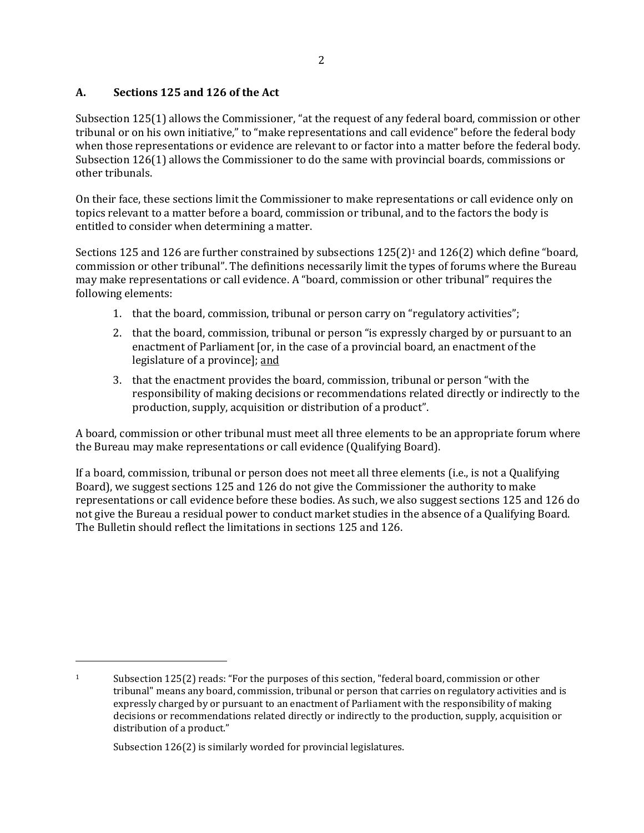## **A. Sections 125 and 126 of the Act**

Subsection 125(1) allows the Commissioner, "at the request of any federal board, commission or other tribunal or on his own initiative," to "make representations and call evidence" before the federal body when those representations or evidence are relevant to or factor into a matter before the federal body. Subsection 126(1) allows the Commissioner to do the same with provincial boards, commissions or other tribunals.

On their face, these sections limit the Commissioner to make representations or call evidence only on topics relevant to a matter before a board, commission or tribunal, and to the factors the body is entitled to consider when determining a matter.

Sections 125 and 126 are further constrained by subsections  $125(2)$ <sup>1</sup> and  $126(2)$  which define "board, commission or other tribunal". The definitions necessarily limit the types of forums where the Bureau may make representations or call evidence. A "board, commission or other tribunal" requires the following elements:

- 1. that the board, commission, tribunal or person carry on "regulatory activities";
- 2. that the board, commission, tribunal or person "is expressly charged by or pursuant to an enactment of Parliament [or, in the case of a provincial board, an enactment of the legislature of a province]; and
- 3. that the enactment provides the board, commission, tribunal or person "with the responsibility of making decisions or recommendations related directly or indirectly to the production, supply, acquisition or distribution of a product".

A board, commission or other tribunal must meet all three elements to be an appropriate forum where the Bureau may make representations or call evidence (Qualifying Board).

If a board, commission, tribunal or person does not meet all three elements (i.e., is not a Qualifying Board), we suggest sections 125 and 126 do not give the Commissioner the authority to make representations or call evidence before these bodies. As such, we also suggest sections 125 and 126 do not give the Bureau a residual power to conduct market studies in the absence of a Qualifying Board. The Bulletin should reflect the limitations in sections 125 and 126.

Subsection 126(2) is similarly worded for provincial legislatures.

 $\overline{\phantom{0}}$ 

<sup>1</sup> Subsection 125(2) reads: "For the purposes of this section, "federal board, commission or other tribunal" means any board, commission, tribunal or person that carries on regulatory activities and is expressly charged by or pursuant to an enactment of Parliament with the responsibility of making decisions or recommendations related directly or indirectly to the production, supply, acquisition or distribution of a product."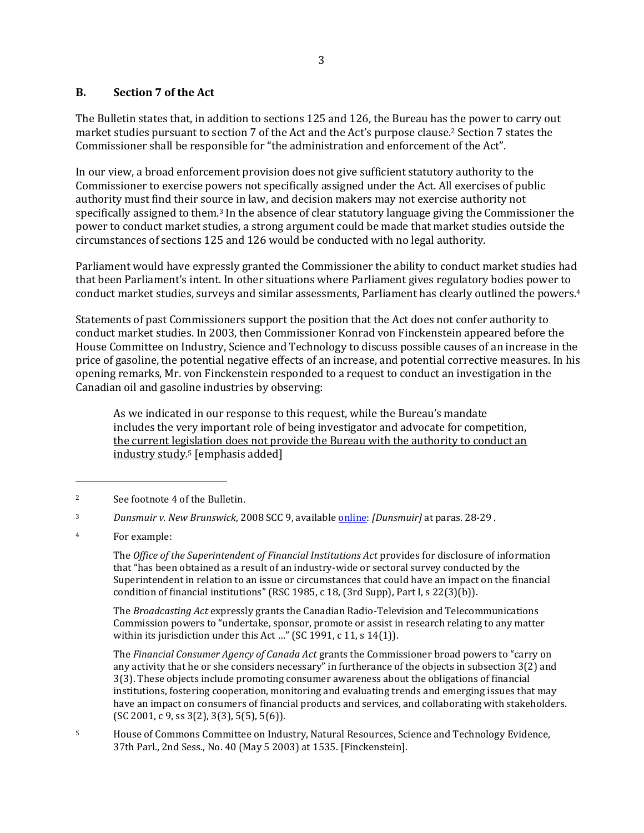#### **B. Section 7 of the Act**

The Bulletin states that, in addition to sections 125 and 126, the Bureau has the power to carry out market studies pursuant to section 7 of the Act and the Act's purpose clause.2 Section 7 states the Commissioner shall be responsible for "the administration and enforcement of the Act".

In our view, a broad enforcement provision does not give sufficient statutory authority to the Commissioner to exercise powers not specifically assigned under the Act. All exercises of public authority must find their source in law, and decision makers may not exercise authority not specifically assigned to them.3 In the absence of clear statutory language giving the Commissioner the power to conduct market studies, a strong argument could be made that market studies outside the circumstances of sections 125 and 126 would be conducted with no legal authority.

Parliament would have expressly granted the Commissioner the ability to conduct market studies had that been Parliament's intent. In other situations where Parliament gives regulatory bodies power to conduct market studies, surveys and similar assessments, Parliament has clearly outlined the powers.<sup>4</sup>

Statements of past Commissioners support the position that the Act does not confer authority to conduct market studies. In 2003, then Commissioner Konrad von Finckenstein appeared before the House Committee on Industry, Science and Technology to discuss possible causes of an increase in the price of gasoline, the potential negative effects of an increase, and potential corrective measures. In his opening remarks, Mr. von Finckenstein responded to a request to conduct an investigation in the Canadian oil and gasoline industries by observing:

As we indicated in our response to this request, while the Bureau's mandate includes the very important role of being investigator and advocate for competition, the current legislation does not provide the Bureau with the authority to conduct an industry study.5 [emphasis added]

l

The *Office of the Superintendent of Financial Institutions Act* provides for disclosure of information that "has been obtained as a result of an industry-wide or sectoral survey conducted by the Superintendent in relation to an issue or circumstances that could have an impact on the financial condition of financial institutions" (RSC 1985, c 18, (3rd Supp), Part I, s 22(3)(b)).

The *Broadcasting Act* expressly grants the Canadian Radio-Television and Telecommunications Commission powers to "undertake, sponsor, promote or assist in research relating to any matter within its jurisdiction under this Act ..." (SC 1991, c 11, s 14(1)).

The *Financial Consumer Agency of Canada Act* grants the Commissioner broad powers to "carry on any activity that he or she considers necessary" in furtherance of the objects in subsection 3(2) and 3(3). These objects include promoting consumer awareness about the obligations of financial institutions, fostering cooperation, monitoring and evaluating trends and emerging issues that may have an impact on consumers of financial products and services, and collaborating with stakeholders. (SC 2001, c 9, ss 3(2), 3(3), 5(5), 5(6)).

<sup>2</sup> See footnote 4 of the Bulletin.

<sup>3</sup> *Dunsmuir v. New Brunswick*, 2008 SCC 9, available [online:](https://www.canlii.org/en/ca/scc/doc/2008/2008scc9/2008scc9.html) *[Dunsmuir]* at paras. 28-29 .

<sup>4</sup> For example:

<sup>5</sup> House of Commons Committee on Industry, Natural Resources, Science and Technology Evidence, 37th Parl., 2nd Sess., No. 40 (May 5 2003) at 1535. [Finckenstein].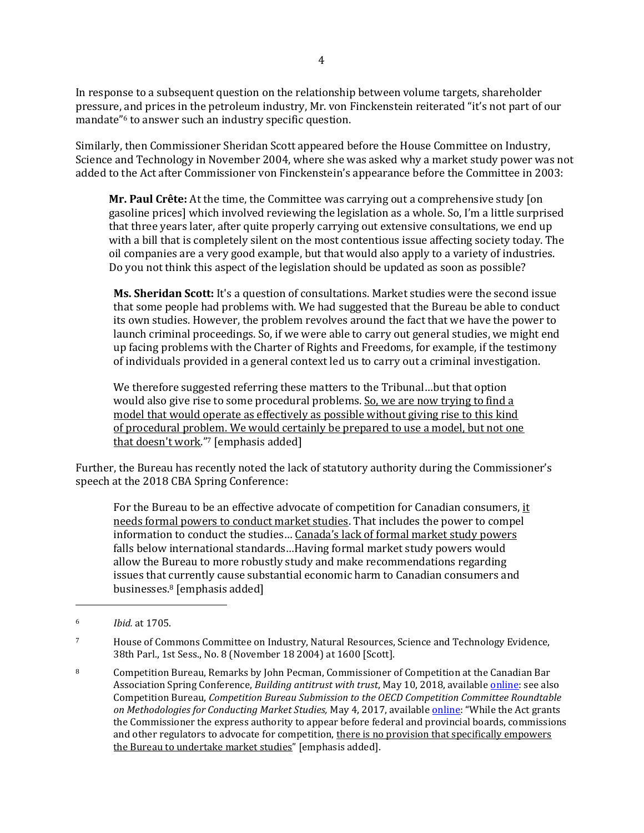In response to a subsequent question on the relationship between volume targets, shareholder pressure, and prices in the petroleum industry, Mr. von Finckenstein reiterated "it's not part of our mandate"6 to answer such an industry specific question.

Similarly, then Commissioner Sheridan Scott appeared before the House Committee on Industry, Science and Technology in November 2004, where she was asked why a market study power was not added to the Act after Commissioner von Finckenstein's appearance before the Committee in 2003:

**Mr. Paul Crête:** At the time, the Committee was carrying out a comprehensive study [on gasoline prices] which involved reviewing the legislation as a whole. So, I'm a little surprised that three years later, after quite properly carrying out extensive consultations, we end up with a bill that is completely silent on the most contentious issue affecting society today. The oil companies are a very good example, but that would also apply to a variety of industries. Do you not think this aspect of the legislation should be updated as soon as possible?

**Ms. Sheridan Scott:** It's a question of consultations. Market studies were the second issue that some people had problems with. We had suggested that the Bureau be able to conduct its own studies. However, the problem revolves around the fact that we have the power to launch criminal proceedings. So, if we were able to carry out general studies, we might end up facing problems with the Charter of Rights and Freedoms, for example, if the testimony of individuals provided in a general context led us to carry out a criminal investigation.

We therefore suggested referring these matters to the Tribunal…but that option would also give rise to some procedural problems. So, we are now trying to find a model that would operate as effectively as possible without giving rise to this kind of procedural problem. We would certainly be prepared to use a model, but not one that doesn't work."7 [emphasis added]

Further, the Bureau has recently noted the lack of statutory authority during the Commissioner's speech at the 2018 CBA Spring Conference:

For the Bureau to be an effective advocate of competition for Canadian consumers, it needs formal powers to conduct market studies. That includes the power to compel information to conduct the studies… Canada's lack of formal market study powers falls below international standards…Having formal market study powers would allow the Bureau to more robustly study and make recommendations regarding issues that currently cause substantial economic harm to Canadian consumers and businesses.8 [emphasis added]

 $\overline{a}$ 

<sup>6</sup> *Ibid.* at 1705.

<sup>7</sup> House of Commons Committee on Industry, Natural Resources, Science and Technology Evidence, 38th Parl., 1st Sess., No. 8 (November 18 2004) at 1600 [Scott].

<sup>8</sup> Competition Bureau, Remarks by John Pecman, Commissioner of Competition at the Canadian Bar Association Spring Conference, *Building antitrust with trust*, May 10, 2018, availabl[e online:](https://www.canada.ca/en/competition-bureau/news/2018/05/building-antitrust-with-trust.html) see also Competition Bureau, *Competition Bureau Submission to the OECD Competition Committee Roundtable on Methodologies for Conducting Market Studies,* May 4, 2017, available [online](http://www.competitionbureau.gc.ca/eic/site/cb-bc.nsf/eng/04211.html): "While the Act grants the Commissioner the express authority to appear before federal and provincial boards, commissions and other regulators to advocate for competition, there is no provision that specifically empowers the Bureau to undertake market studies" [emphasis added].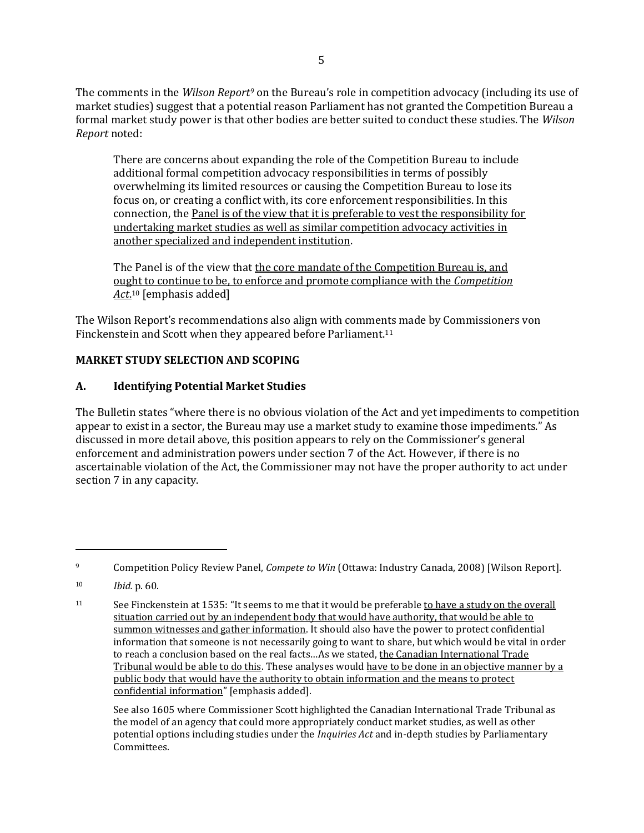The comments in the *Wilson Report<sup>9</sup>* on the Bureau's role in competition advocacy (including its use of market studies) suggest that a potential reason Parliament has not granted the Competition Bureau a formal market study power is that other bodies are better suited to conduct these studies. The *Wilson Report* noted:

There are concerns about expanding the role of the Competition Bureau to include additional formal competition advocacy responsibilities in terms of possibly overwhelming its limited resources or causing the Competition Bureau to lose its focus on, or creating a conflict with, its core enforcement responsibilities. In this connection, the Panel is of the view that it is preferable to vest the responsibility for undertaking market studies as well as similar competition advocacy activities in another specialized and independent institution.

The Panel is of the view that the core mandate of the Competition Bureau is, and ought to continue to be, to enforce and promote compliance with the *Competition Act*. <sup>10</sup> [emphasis added]

The Wilson Report's recommendations also align with comments made by Commissioners von Finckenstein and Scott when they appeared before Parliament.<sup>11</sup>

## **MARKET STUDY SELECTION AND SCOPING**

## **A. Identifying Potential Market Studies**

The Bulletin states "where there is no obvious violation of the Act and yet impediments to competition appear to exist in a sector, the Bureau may use a market study to examine those impediments." As discussed in more detail above, this position appears to rely on the Commissioner's general enforcement and administration powers under section 7 of the Act. However, if there is no ascertainable violation of the Act, the Commissioner may not have the proper authority to act under section 7 in any capacity.

 $\overline{a}$ 

See also 1605 where Commissioner Scott highlighted the Canadian International Trade Tribunal as the model of an agency that could more appropriately conduct market studies, as well as other potential options including studies under the *Inquiries Act* and in-depth studies by Parliamentary Committees.

<sup>9</sup> Competition Policy Review Panel, *Compete to Win* (Ottawa: Industry Canada, 2008) [Wilson Report].

<sup>10</sup> *Ibid.* p. 60.

<sup>11</sup> See Finckenstein at 1535: "It seems to me that it would be preferable to have a study on the overall situation carried out by an independent body that would have authority, that would be able to summon witnesses and gather information. It should also have the power to protect confidential information that someone is not necessarily going to want to share, but which would be vital in order to reach a conclusion based on the real facts...As we stated, the Canadian International Trade Tribunal would be able to do this. These analyses would have to be done in an objective manner by a public body that would have the authority to obtain information and the means to protect confidential information" [emphasis added].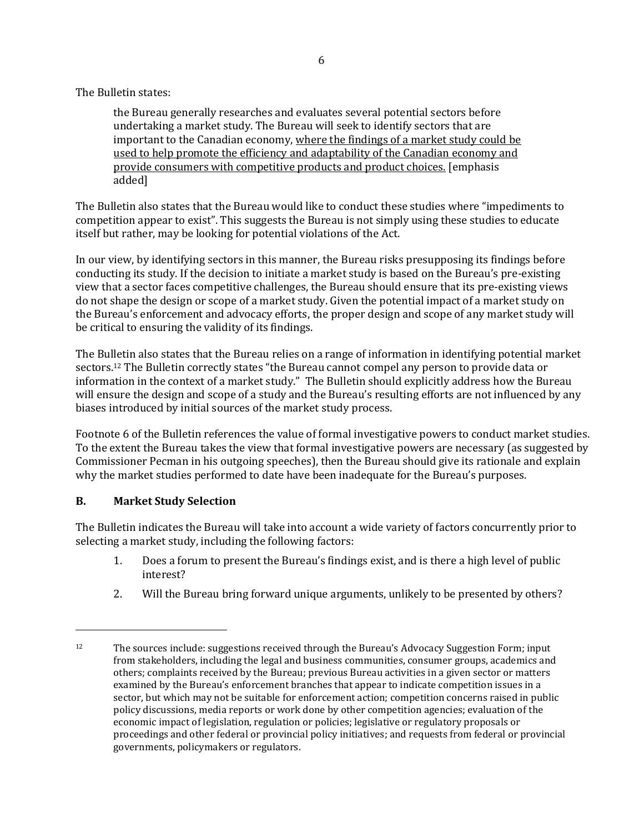The Bulletin states:

the Bureau generally researches and evaluates several potential sectors before undertaking a market study. The Bureau will seek to identify sectors that are important to the Canadian economy, where the findings of a market study could be used to help promote the efficiency and adaptability of the Canadian economy and provide consumers with competitive products and product choices. [emphasis added]

The Bulletin also states that the Bureau would like to conduct these studies where "impediments to competition appear to exist". This suggests the Bureau is not simply using these studies to educate itself but rather, may be looking for potential violations of the Act.

In our view, by identifying sectors in this manner, the Bureau risks presupposing its findings before conducting its study. If the decision to initiate a market study is based on the Bureau's pre-existing view that a sector faces competitive challenges, the Bureau should ensure that its pre-existing views do not shape the design or scope of a market study. Given the potential impact of a market study on the Bureau's enforcement and advocacy efforts, the proper design and scope of any market study will be critical to ensuring the validity of its findings.

The Bulletin also states that the Bureau relies on a range of information in identifying potential market sectors.<sup>12</sup> The Bulletin correctly states "the Bureau cannot compel any person to provide data or information in the context of a market study." The Bulletin should explicitly address how the Bureau will ensure the design and scope of a study and the Bureau's resulting efforts are not influenced by any biases introduced by initial sources of the market study process.

Footnote 6 of the Bulletin references the value of formal investigative powers to conduct market studies. To the extent the Bureau takes the view that formal investigative powers are necessary (as suggested by Commissioner Pecman in his outgoing speeches), then the Bureau should give its rationale and explain why the market studies performed to date have been inadequate for the Bureau's purposes.

### **B. Market Study Selection**

l

The Bulletin indicates the Bureau will take into account a wide variety of factors concurrently prior to selecting a market study, including the following factors:

- 1. Does a forum to present the Bureau's findings exist, and is there a high level of public interest?
- 2. Will the Bureau bring forward unique arguments, unlikely to be presented by others?

<sup>&</sup>lt;sup>12</sup> The sources include: suggestions received through the Bureau's Advocacy Suggestion Form; input from stakeholders, including the legal and business communities, consumer groups, academics and others; complaints received by the Bureau; previous Bureau activities in a given sector or matters examined by the Bureau's enforcement branches that appear to indicate competition issues in a sector, but which may not be suitable for enforcement action; competition concerns raised in public policy discussions, media reports or work done by other competition agencies; evaluation of the economic impact of legislation, regulation or policies; legislative or regulatory proposals or proceedings and other federal or provincial policy initiatives; and requests from federal or provincial governments, policymakers or regulators.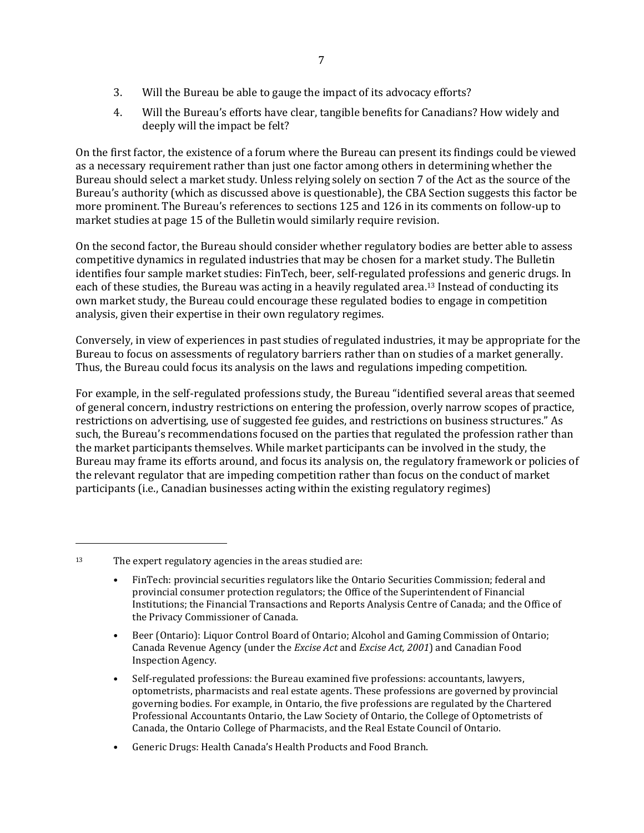- 3. Will the Bureau be able to gauge the impact of its advocacy efforts?
- 4. Will the Bureau's efforts have clear, tangible benefits for Canadians? How widely and deeply will the impact be felt?

On the first factor, the existence of a forum where the Bureau can present its findings could be viewed as a necessary requirement rather than just one factor among others in determining whether the Bureau should select a market study. Unless relying solely on section 7 of the Act as the source of the Bureau's authority (which as discussed above is questionable), the CBA Section suggests this factor be more prominent. The Bureau's references to sections 125 and 126 in its comments on follow-up to market studies at page 15 of the Bulletin would similarly require revision.

On the second factor, the Bureau should consider whether regulatory bodies are better able to assess competitive dynamics in regulated industries that may be chosen for a market study. The Bulletin identifies four sample market studies: FinTech, beer, self-regulated professions and generic drugs. In each of these studies, the Bureau was acting in a heavily regulated area.13 Instead of conducting its own market study, the Bureau could encourage these regulated bodies to engage in competition analysis, given their expertise in their own regulatory regimes.

Conversely, in view of experiences in past studies of regulated industries, it may be appropriate for the Bureau to focus on assessments of regulatory barriers rather than on studies of a market generally. Thus, the Bureau could focus its analysis on the laws and regulations impeding competition.

For example, in the self-regulated professions study, the Bureau "identified several areas that seemed of general concern, industry restrictions on entering the profession, overly narrow scopes of practice, restrictions on advertising, use of suggested fee guides, and restrictions on business structures." As such, the Bureau's recommendations focused on the parties that regulated the profession rather than the market participants themselves. While market participants can be involved in the study, the Bureau may frame its efforts around, and focus its analysis on, the regulatory framework or policies of the relevant regulator that are impeding competition rather than focus on the conduct of market participants (i.e., Canadian businesses acting within the existing regulatory regimes)

<sup>13</sup> The expert regulatory agencies in the areas studied are:

 $\overline{a}$ 

- FinTech: provincial securities regulators like the Ontario Securities Commission; federal and provincial consumer protection regulators; the Office of the Superintendent of Financial Institutions; the Financial Transactions and Reports Analysis Centre of Canada; and the Office of the Privacy Commissioner of Canada.
- Beer (Ontario): Liquor Control Board of Ontario; Alcohol and Gaming Commission of Ontario; Canada Revenue Agency (under the *Excise Act* and *Excise Act, 2001*) and Canadian Food Inspection Agency.
- Self-regulated professions: the Bureau examined five professions: accountants, lawyers, optometrists, pharmacists and real estate agents. These professions are governed by provincial governing bodies. For example, in Ontario, the five professions are regulated by the Chartered Professional Accountants Ontario, the Law Society of Ontario, the College of Optometrists of Canada, the Ontario College of Pharmacists, and the Real Estate Council of Ontario.
- Generic Drugs: Health Canada's Health Products and Food Branch.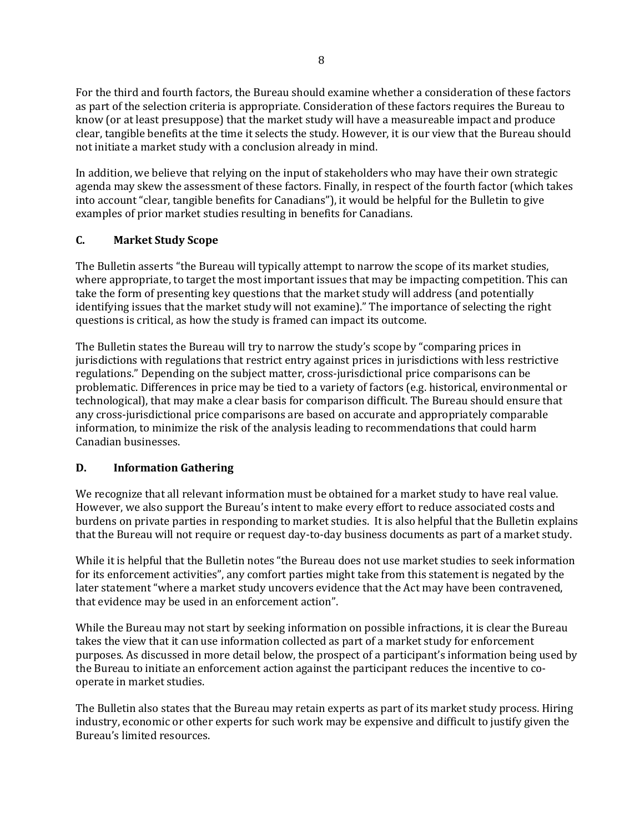For the third and fourth factors, the Bureau should examine whether a consideration of these factors as part of the selection criteria is appropriate. Consideration of these factors requires the Bureau to know (or at least presuppose) that the market study will have a measureable impact and produce clear, tangible benefits at the time it selects the study. However, it is our view that the Bureau should not initiate a market study with a conclusion already in mind.

In addition, we believe that relying on the input of stakeholders who may have their own strategic agenda may skew the assessment of these factors. Finally, in respect of the fourth factor (which takes into account "clear, tangible benefits for Canadians"), it would be helpful for the Bulletin to give examples of prior market studies resulting in benefits for Canadians.

# **C. Market Study Scope**

The Bulletin asserts "the Bureau will typically attempt to narrow the scope of its market studies, where appropriate, to target the most important issues that may be impacting competition. This can take the form of presenting key questions that the market study will address (and potentially identifying issues that the market study will not examine)." The importance of selecting the right questions is critical, as how the study is framed can impact its outcome.

The Bulletin states the Bureau will try to narrow the study's scope by "comparing prices in jurisdictions with regulations that restrict entry against prices in jurisdictions with less restrictive regulations." Depending on the subject matter, cross-jurisdictional price comparisons can be problematic. Differences in price may be tied to a variety of factors (e.g. historical, environmental or technological), that may make a clear basis for comparison difficult. The Bureau should ensure that any cross-jurisdictional price comparisons are based on accurate and appropriately comparable information, to minimize the risk of the analysis leading to recommendations that could harm Canadian businesses.

### **D. Information Gathering**

We recognize that all relevant information must be obtained for a market study to have real value. However, we also support the Bureau's intent to make every effort to reduce associated costs and burdens on private parties in responding to market studies. It is also helpful that the Bulletin explains that the Bureau will not require or request day-to-day business documents as part of a market study.

While it is helpful that the Bulletin notes "the Bureau does not use market studies to seek information for its enforcement activities", any comfort parties might take from this statement is negated by the later statement "where a market study uncovers evidence that the Act may have been contravened, that evidence may be used in an enforcement action".

While the Bureau may not start by seeking information on possible infractions, it is clear the Bureau takes the view that it can use information collected as part of a market study for enforcement purposes. As discussed in more detail below, the prospect of a participant's information being used by the Bureau to initiate an enforcement action against the participant reduces the incentive to cooperate in market studies.

The Bulletin also states that the Bureau may retain experts as part of its market study process. Hiring industry, economic or other experts for such work may be expensive and difficult to justify given the Bureau's limited resources.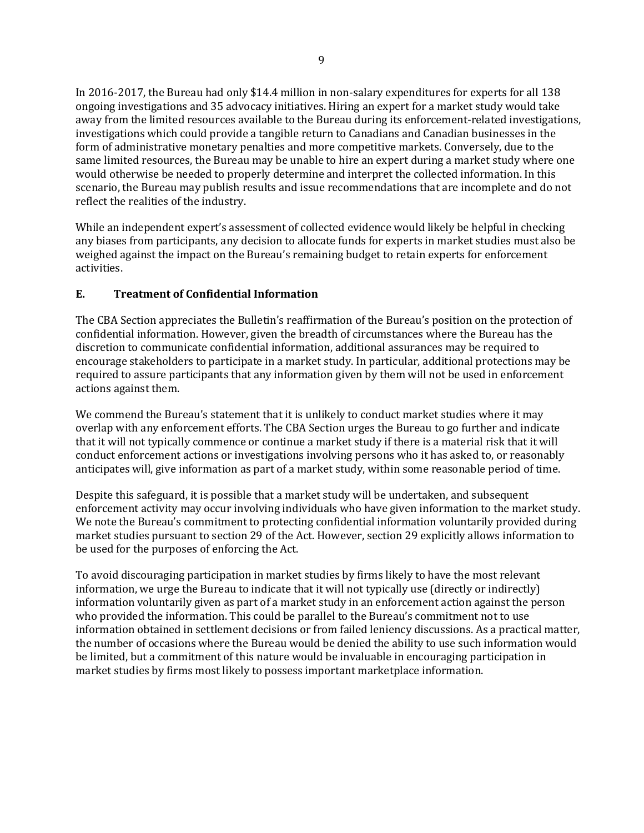In 2016-2017, the Bureau had only \$14.4 million in non-salary expenditures for experts for all 138 ongoing investigations and 35 advocacy initiatives. Hiring an expert for a market study would take away from the limited resources available to the Bureau during its enforcement-related investigations, investigations which could provide a tangible return to Canadians and Canadian businesses in the form of administrative monetary penalties and more competitive markets. Conversely, due to the same limited resources, the Bureau may be unable to hire an expert during a market study where one would otherwise be needed to properly determine and interpret the collected information. In this scenario, the Bureau may publish results and issue recommendations that are incomplete and do not reflect the realities of the industry.

While an independent expert's assessment of collected evidence would likely be helpful in checking any biases from participants, any decision to allocate funds for experts in market studies must also be weighed against the impact on the Bureau's remaining budget to retain experts for enforcement activities.

## **E. Treatment of Confidential Information**

The CBA Section appreciates the Bulletin's reaffirmation of the Bureau's position on the protection of confidential information. However, given the breadth of circumstances where the Bureau has the discretion to communicate confidential information, additional assurances may be required to encourage stakeholders to participate in a market study. In particular, additional protections may be required to assure participants that any information given by them will not be used in enforcement actions against them.

We commend the Bureau's statement that it is unlikely to conduct market studies where it may overlap with any enforcement efforts. The CBA Section urges the Bureau to go further and indicate that it will not typically commence or continue a market study if there is a material risk that it will conduct enforcement actions or investigations involving persons who it has asked to, or reasonably anticipates will, give information as part of a market study, within some reasonable period of time.

Despite this safeguard, it is possible that a market study will be undertaken, and subsequent enforcement activity may occur involving individuals who have given information to the market study. We note the Bureau's commitment to protecting confidential information voluntarily provided during market studies pursuant to section 29 of the Act. However, section 29 explicitly allows information to be used for the purposes of enforcing the Act.

To avoid discouraging participation in market studies by firms likely to have the most relevant information, we urge the Bureau to indicate that it will not typically use (directly or indirectly) information voluntarily given as part of a market study in an enforcement action against the person who provided the information. This could be parallel to the Bureau's commitment not to use information obtained in settlement decisions or from failed leniency discussions. As a practical matter, the number of occasions where the Bureau would be denied the ability to use such information would be limited, but a commitment of this nature would be invaluable in encouraging participation in market studies by firms most likely to possess important marketplace information.